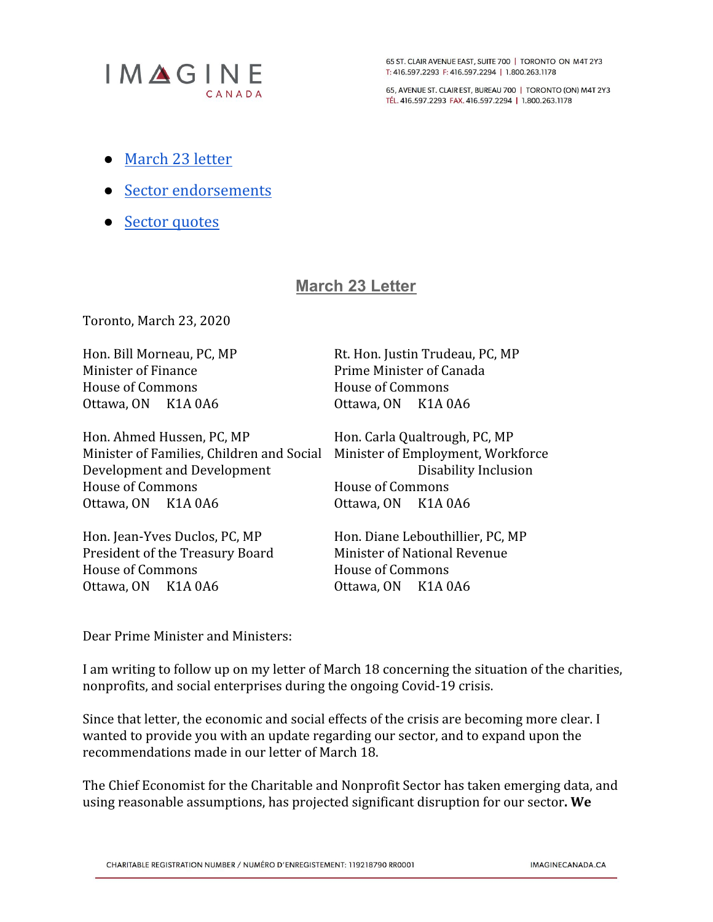

65 ST. CLAIR AVENUE EAST, SUITE 700 | TORONTO ON M4T 2Y3 T: 416.597.2293 F: 416.597.2294 | 1.800.263.1178

65, AVENUE ST. CLAIR EST, BUREAU 700 | TORONTO (ON) M4T 2Y3 TÉL. 416.597.2293 FAX. 416.597.2294 | 1.800.263.1178

- [March](#page-0-0) 23 letter
- Sector [endorsements](#page-4-0)
- Sector [quotes](#page-11-0)

# <span id="page-0-0"></span>**March 23 Letter**

Toronto, March 23, 2020

Minister of Finance **Prime Minister of Canada** House of Commons House of Commons Ottawa, ON K1A 0A6 Ottawa, ON K1A 0A6

Hon. Ahmed Hussen, PC, MP Hon. Carla Qualtrough, PC, MP Minister of Families, Children and Social Minister of Employment, Workforce Development and Development Disability Inclusion House of Commons **House of Commons** Ottawa, ON K1A 0A6 Ottawa, ON K1A 0A6

Hon. Jean-Yves Duclos, PC, MP Hon. Diane Lebouthillier, PC, MP President of the Treasury Board Minister of National Revenue House of Commons House of Commons Ottawa, ON K1A 0A6 Ottawa, ON K1A 0A6

Hon. Bill Morneau, PC, MP Rt. Hon. Justin Trudeau, PC, MP

Dear Prime Minister and Ministers:

I am writing to follow up on my letter of March 18 concerning the situation of the charities, nonprofits, and social enterprises during the ongoing Covid-19 crisis.

Since that letter, the economic and social effects of the crisis are becoming more clear. I wanted to provide you with an update regarding our sector, and to expand upon the recommendations made in our letter of March 18.

The Chief Economist for the Charitable and Nonprofit Sector has taken emerging data, and using reasonable assumptions, has projected significant disruption for our sector**. We**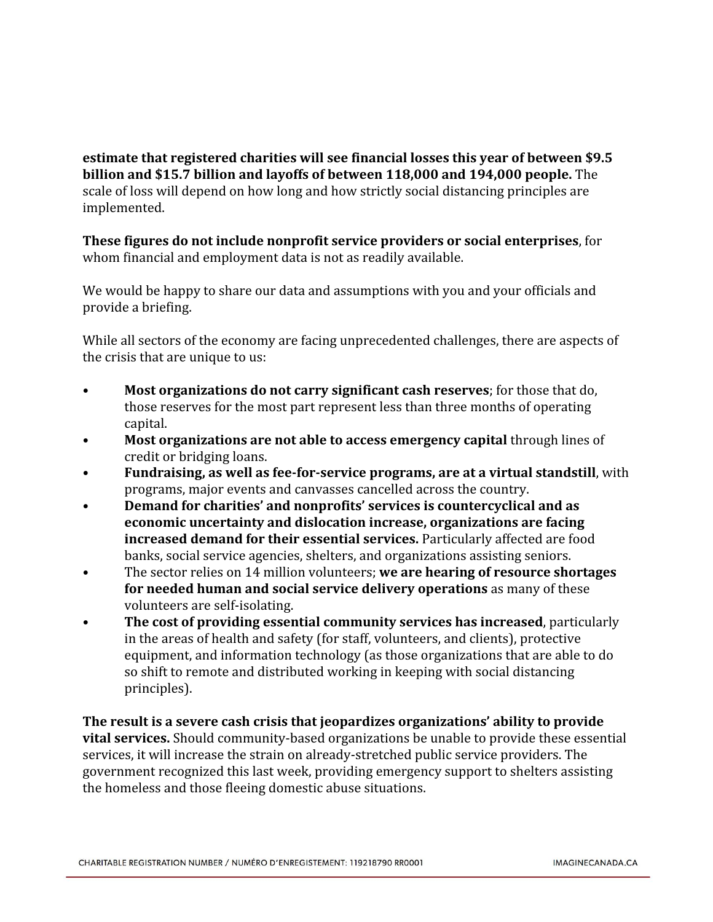**estimate that registered charities will see financial losses this year of between \$9.5 billion and \$15.7 billion and layoffs of between 118,000 and 194,000 people.** The scale of loss will depend on how long and how strictly social distancing principles are implemented.

**These figures do not include nonprofit service providers or social enterprises**, for whom financial and employment data is not as readily available.

We would be happy to share our data and assumptions with you and your officials and provide a briefing.

While all sectors of the economy are facing unprecedented challenges, there are aspects of the crisis that are unique to us:

- **Most organizations do not carry significant cash reserves**; for those that do, those reserves for the most part represent less than three months of operating capital.
- **Most organizations are not able to access emergency capital** through lines of credit or bridging loans.
- **Fundraising, as well as fee-for-service programs, are at a virtual standstill**, with programs, major events and canvasses cancelled across the country.
- **Demand for charities' and nonprofits' services is countercyclical and as economic uncertainty and dislocation increase, organizations are facing increased demand for their essential services.** Particularly affected are food banks, social service agencies, shelters, and organizations assisting seniors.
- The sector relies on 14 million volunteers; **we are hearing of resource shortages for needed human and social service delivery operations** as many of these volunteers are self-isolating.
- **The cost of providing essential community services has increased**, particularly in the areas of health and safety (for staff, volunteers, and clients), protective equipment, and information technology (as those organizations that are able to do so shift to remote and distributed working in keeping with social distancing principles).

**The result is a severe cash crisis that jeopardizes organizations' ability to provide vital services.** Should community-based organizations be unable to provide these essential services, it will increase the strain on already-stretched public service providers. The government recognized this last week, providing emergency support to shelters assisting the homeless and those fleeing domestic abuse situations.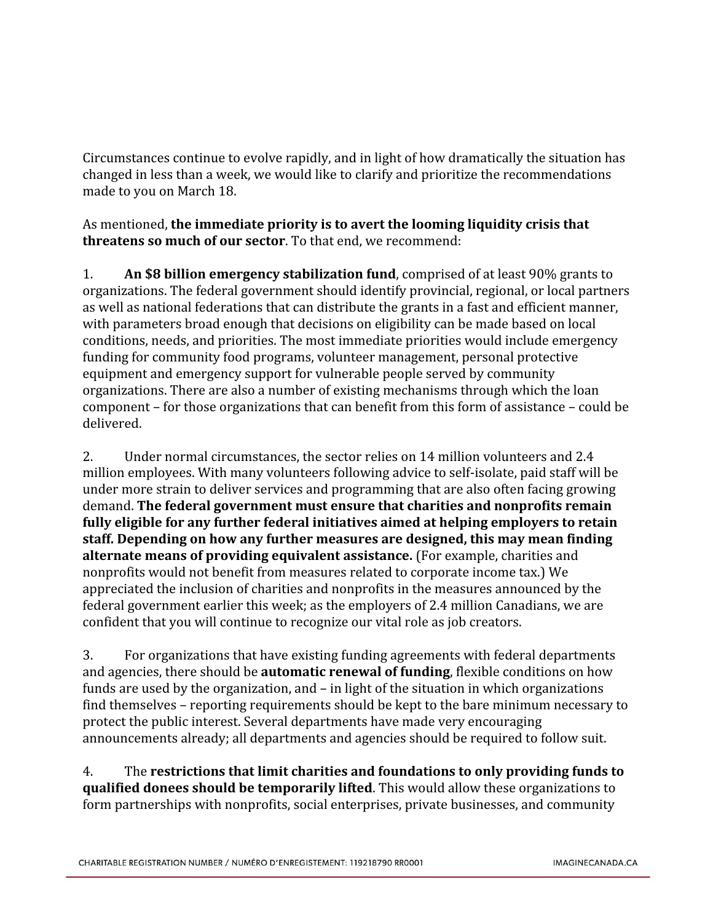Circumstances continue to evolve rapidly, and in light of how dramatically the situation has changed in less than a week, we would like to clarify and prioritize the recommendations made to you on March 18.

As mentioned, **the immediate priority is to avert the looming liquidity crisis that threatens so much of our sector**. To that end, we recommend:

1. **An \$8 billion emergency stabilization fund**, comprised of at least 90% grants to organizations. The federal government should identify provincial, regional, or local partners as well as national federations that can distribute the grants in a fast and efficient manner, with parameters broad enough that decisions on eligibility can be made based on local conditions, needs, and priorities. The most immediate priorities would include emergency funding for community food programs, volunteer management, personal protective equipment and emergency support for vulnerable people served by community organizations. There are also a number of existing mechanisms through which the loan component – for those organizations that can benefit from this form of assistance – could be delivered.

2. Under normal circumstances, the sector relies on 14 million volunteers and 2.4 million employees. With many volunteers following advice to self-isolate, paid staff will be under more strain to deliver services and programming that are also often facing growing demand. **The federal government must ensure that charities and nonprofits remain fully eligible for any further federal initiatives aimed at helping employers to retain staff. Depending on how any further measures are designed, this may mean finding alternate means of providing equivalent assistance.** (For example, charities and nonprofits would not benefit from measures related to corporate income tax.) We appreciated the inclusion of charities and nonprofits in the measures announced by the federal government earlier this week; as the employers of 2.4 million Canadians, we are confident that you will continue to recognize our vital role as job creators.

3. For organizations that have existing funding agreements with federal departments and agencies, there should be **automatic renewal of funding**, flexible conditions on how funds are used by the organization, and – in light of the situation in which organizations find themselves – reporting requirements should be kept to the bare minimum necessary to protect the public interest. Several departments have made very encouraging announcements already; all departments and agencies should be required to follow suit.

4. The **restrictions that limit charities and foundations to only providing funds to qualified donees should be temporarily lifted**. This would allow these organizations to form partnerships with nonprofits, social enterprises, private businesses, and community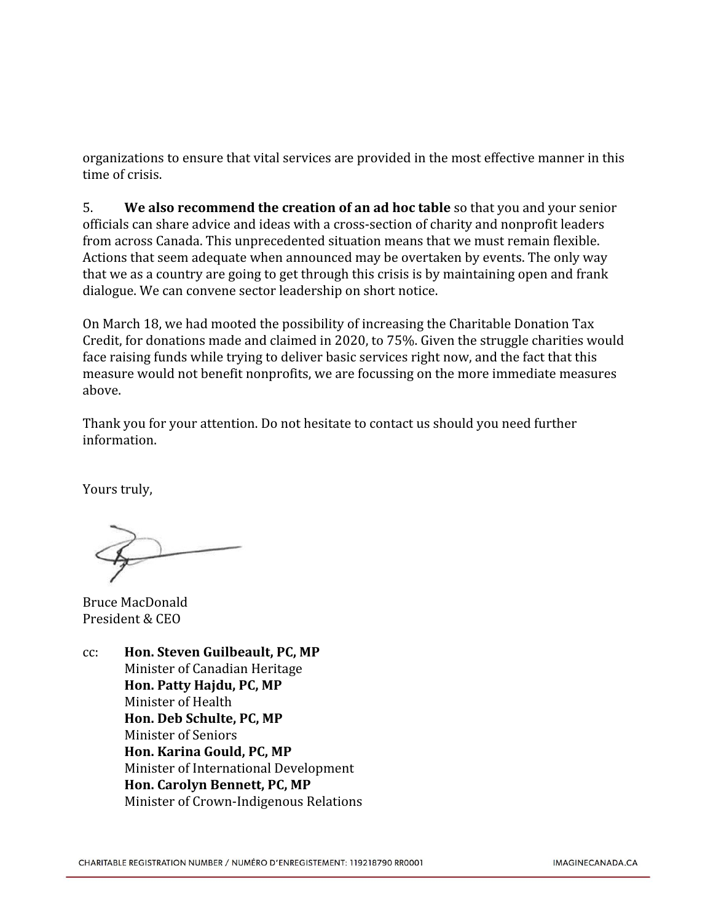organizations to ensure that vital services are provided in the most effective manner in this time of crisis.

5. **We also recommend the creation of an ad hoc table** so that you and your senior officials can share advice and ideas with a cross-section of charity and nonprofit leaders from across Canada. This unprecedented situation means that we must remain flexible. Actions that seem adequate when announced may be overtaken by events. The only way that we as a country are going to get through this crisis is by maintaining open and frank dialogue. We can convene sector leadership on short notice.

On March 18, we had mooted the possibility of increasing the Charitable Donation Tax Credit, for donations made and claimed in 2020, to 75%. Given the struggle charities would face raising funds while trying to deliver basic services right now, and the fact that this measure would not benefit nonprofits, we are focussing on the more immediate measures above.

Thank you for your attention. Do not hesitate to contact us should you need further information.

Yours truly,

Bruce MacDonald President & CEO

cc: **Hon. Steven Guilbeault, PC, MP** Minister of Canadian Heritage **Hon. Patty Hajdu, PC, MP** Minister of Health **Hon. Deb Schulte, PC, MP** Minister of Seniors **Hon. Karina Gould, PC, MP** Minister of International Development **Hon. Carolyn Bennett, PC, MP** Minister of Crown-Indigenous Relations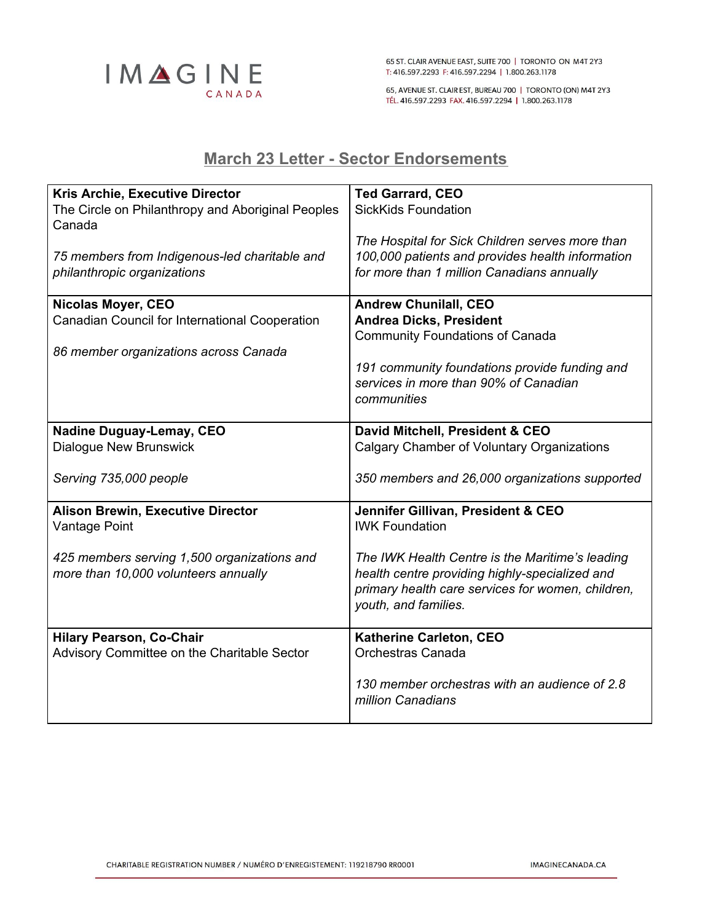

65 ST. CLAIR AVENUE EAST, SUITE 700 | TORONTO ON M4T 2Y3 T: 416.597.2293 F: 416.597.2294 | 1.800.263.1178

65, AVENUE ST. CLAIR EST, BUREAU 700 | TORONTO (ON) M4T 2Y3 TÉL. 416.597.2293 FAX. 416.597.2294 | 1.800.263.1178

# <span id="page-4-0"></span>**March 23 Letter - Sector Endorsements**

| <b>Kris Archie, Executive Director</b>                      | <b>Ted Garrard, CEO</b>                           |
|-------------------------------------------------------------|---------------------------------------------------|
| The Circle on Philanthropy and Aboriginal Peoples<br>Canada | <b>SickKids Foundation</b>                        |
|                                                             | The Hospital for Sick Children serves more than   |
| 75 members from Indigenous-led charitable and               | 100,000 patients and provides health information  |
| philanthropic organizations                                 | for more than 1 million Canadians annually        |
| Nicolas Moyer, CEO                                          | <b>Andrew Chunilall, CEO</b>                      |
| Canadian Council for International Cooperation              | <b>Andrea Dicks, President</b>                    |
|                                                             | <b>Community Foundations of Canada</b>            |
| 86 member organizations across Canada                       |                                                   |
|                                                             | 191 community foundations provide funding and     |
|                                                             | services in more than 90% of Canadian             |
|                                                             | communities                                       |
|                                                             |                                                   |
| <b>Nadine Duguay-Lemay, CEO</b>                             | David Mitchell, President & CEO                   |
| <b>Dialogue New Brunswick</b>                               | <b>Calgary Chamber of Voluntary Organizations</b> |
| Serving 735,000 people                                      | 350 members and 26,000 organizations supported    |
| <b>Alison Brewin, Executive Director</b>                    | Jennifer Gillivan, President & CEO                |
| Vantage Point                                               | <b>IWK Foundation</b>                             |
|                                                             |                                                   |
| 425 members serving 1,500 organizations and                 | The IWK Health Centre is the Maritime's leading   |
| more than 10,000 volunteers annually                        | health centre providing highly-specialized and    |
|                                                             | primary health care services for women, children, |
|                                                             | youth, and families.                              |
| <b>Hilary Pearson, Co-Chair</b>                             | Katherine Carleton, CEO                           |
| Advisory Committee on the Charitable Sector                 | Orchestras Canada                                 |
|                                                             |                                                   |
|                                                             | 130 member orchestras with an audience of 2.8     |
|                                                             | million Canadians                                 |
|                                                             |                                                   |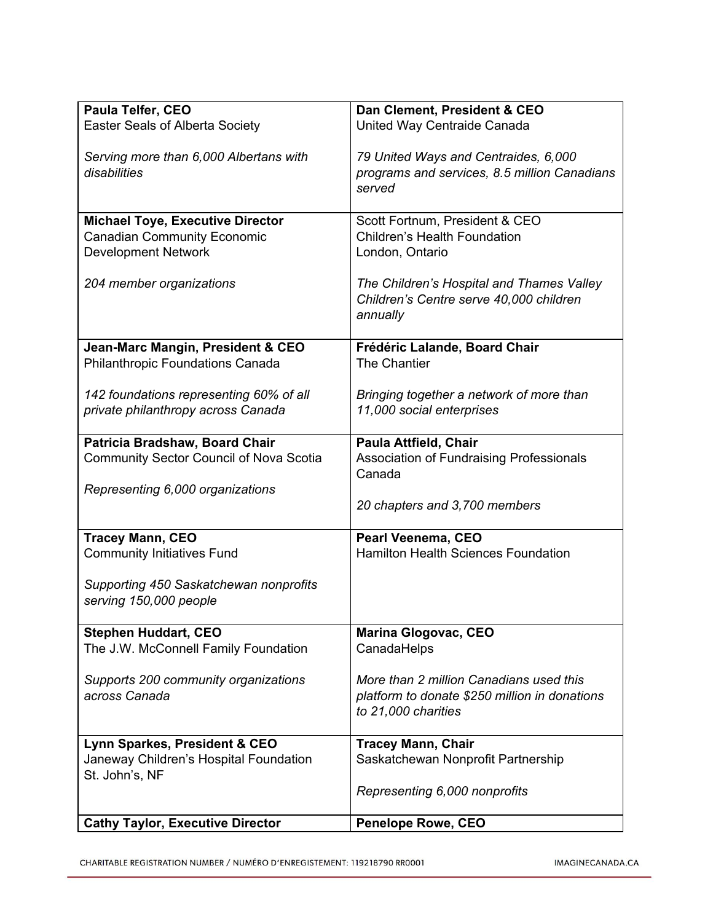| <b>Paula Telfer, CEO</b>                       | Dan Clement, President & CEO                  |
|------------------------------------------------|-----------------------------------------------|
| <b>Easter Seals of Alberta Society</b>         | United Way Centraide Canada                   |
|                                                |                                               |
| Serving more than 6,000 Albertans with         | 79 United Ways and Centraides, 6,000          |
| disabilities                                   | programs and services, 8.5 million Canadians  |
|                                                | served                                        |
|                                                |                                               |
| <b>Michael Toye, Executive Director</b>        | Scott Fortnum, President & CEO                |
| <b>Canadian Community Economic</b>             | <b>Children's Health Foundation</b>           |
| <b>Development Network</b>                     | London, Ontario                               |
|                                                | The Children's Hospital and Thames Valley     |
| 204 member organizations                       | Children's Centre serve 40,000 children       |
|                                                | annually                                      |
|                                                |                                               |
| Jean-Marc Mangin, President & CEO              | Frédéric Lalande, Board Chair                 |
| <b>Philanthropic Foundations Canada</b>        | The Chantier                                  |
|                                                |                                               |
| 142 foundations representing 60% of all        | Bringing together a network of more than      |
| private philanthropy across Canada             | 11,000 social enterprises                     |
|                                                |                                               |
| Patricia Bradshaw, Board Chair                 | Paula Attfield, Chair                         |
| <b>Community Sector Council of Nova Scotia</b> | Association of Fundraising Professionals      |
|                                                | Canada                                        |
| Representing 6,000 organizations               |                                               |
|                                                | 20 chapters and 3,700 members                 |
| <b>Tracey Mann, CEO</b>                        | Pearl Veenema, CEO                            |
| <b>Community Initiatives Fund</b>              | <b>Hamilton Health Sciences Foundation</b>    |
|                                                |                                               |
| Supporting 450 Saskatchewan nonprofits         |                                               |
| serving 150,000 people                         |                                               |
|                                                |                                               |
| <b>Stephen Huddart, CEO</b>                    | <b>Marina Glogovac, CEO</b>                   |
| The J.W. McConnell Family Foundation           | CanadaHelps                                   |
| Supports 200 community organizations           | More than 2 million Canadians used this       |
| across Canada                                  | platform to donate \$250 million in donations |
|                                                | to 21,000 charities                           |
|                                                |                                               |
| Lynn Sparkes, President & CEO                  | <b>Tracey Mann, Chair</b>                     |
| Janeway Children's Hospital Foundation         | Saskatchewan Nonprofit Partnership            |
| St. John's, NF                                 |                                               |
|                                                | Representing 6,000 nonprofits                 |
|                                                |                                               |
| <b>Cathy Taylor, Executive Director</b>        | <b>Penelope Rowe, CEO</b>                     |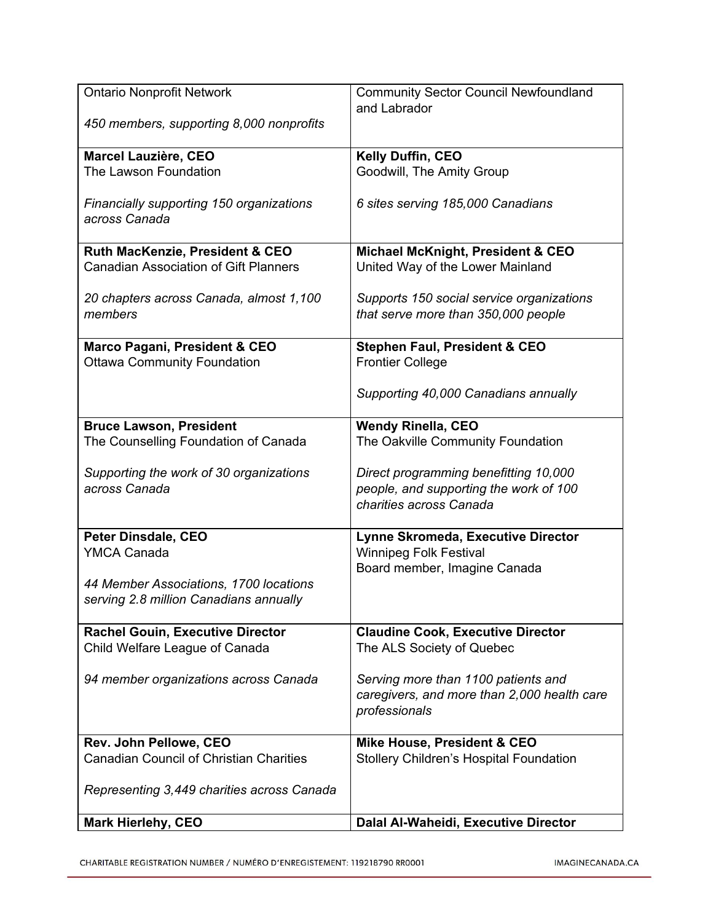| <b>Ontario Nonprofit Network</b>               | <b>Community Sector Council Newfoundland</b> |
|------------------------------------------------|----------------------------------------------|
|                                                | and Labrador                                 |
| 450 members, supporting 8,000 nonprofits       |                                              |
| Marcel Lauzière, CEO                           | Kelly Duffin, CEO                            |
| The Lawson Foundation                          | Goodwill, The Amity Group                    |
|                                                |                                              |
| Financially supporting 150 organizations       | 6 sites serving 185,000 Canadians            |
| across Canada                                  |                                              |
|                                                |                                              |
| Ruth MacKenzie, President & CEO                | Michael McKnight, President & CEO            |
| <b>Canadian Association of Gift Planners</b>   | United Way of the Lower Mainland             |
|                                                |                                              |
| 20 chapters across Canada, almost 1,100        | Supports 150 social service organizations    |
| members                                        | that serve more than 350,000 people          |
| Marco Pagani, President & CEO                  | <b>Stephen Faul, President &amp; CEO</b>     |
| <b>Ottawa Community Foundation</b>             | <b>Frontier College</b>                      |
|                                                |                                              |
|                                                | Supporting 40,000 Canadians annually         |
|                                                |                                              |
| <b>Bruce Lawson, President</b>                 | <b>Wendy Rinella, CEO</b>                    |
| The Counselling Foundation of Canada           | The Oakville Community Foundation            |
|                                                |                                              |
| Supporting the work of 30 organizations        | Direct programming benefitting 10,000        |
| across Canada                                  | people, and supporting the work of 100       |
|                                                | charities across Canada                      |
| Peter Dinsdale, CEO                            | Lynne Skromeda, Executive Director           |
| <b>YMCA Canada</b>                             | <b>Winnipeg Folk Festival</b>                |
|                                                | Board member, Imagine Canada                 |
| 44 Member Associations, 1700 locations         |                                              |
| serving 2.8 million Canadians annually         |                                              |
|                                                |                                              |
| <b>Rachel Gouin, Executive Director</b>        | <b>Claudine Cook, Executive Director</b>     |
| Child Welfare League of Canada                 | The ALS Society of Quebec                    |
|                                                |                                              |
| 94 member organizations across Canada          | Serving more than 1100 patients and          |
|                                                | caregivers, and more than 2,000 health care  |
|                                                | professionals                                |
| Rev. John Pellowe, CEO                         | Mike House, President & CEO                  |
| <b>Canadian Council of Christian Charities</b> | Stollery Children's Hospital Foundation      |
|                                                |                                              |
| Representing 3,449 charities across Canada     |                                              |
|                                                |                                              |
| <b>Mark Hierlehy, CEO</b>                      | Dalal Al-Waheidi, Executive Director         |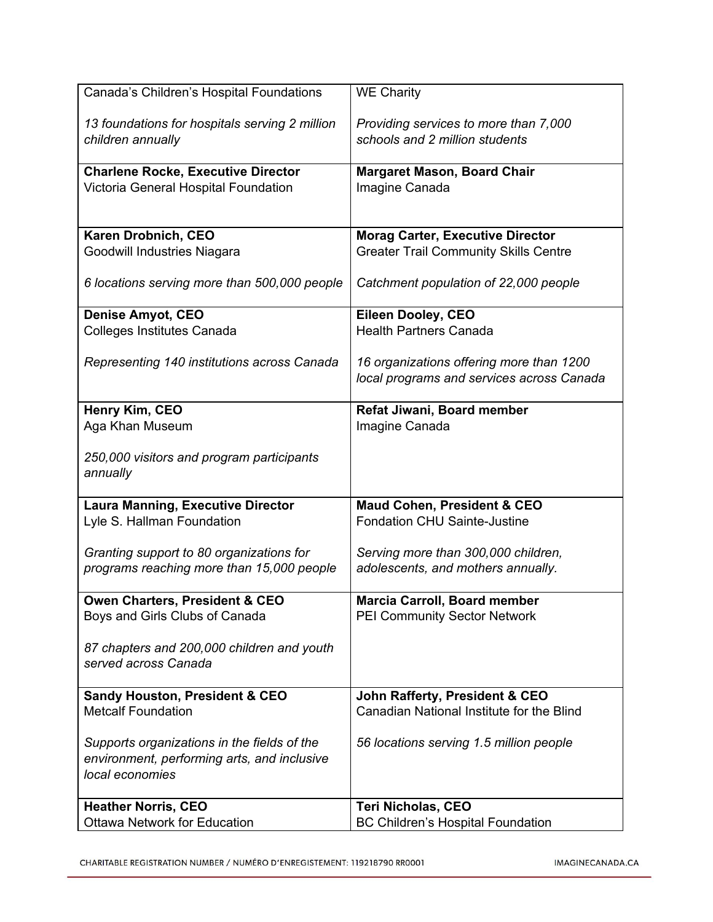| 13 foundations for hospitals serving 2 million<br>Providing services to more than 7,000<br>schools and 2 million students<br>children annually<br><b>Charlene Rocke, Executive Director</b><br><b>Margaret Mason, Board Chair</b><br>Victoria General Hospital Foundation<br>Imagine Canada<br>Karen Drobnich, CEO<br><b>Morag Carter, Executive Director</b><br><b>Greater Trail Community Skills Centre</b><br>Goodwill Industries Niagara<br>6 locations serving more than 500,000 people<br>Catchment population of 22,000 people<br><b>Denise Amyot, CEO</b><br>Eileen Dooley, CEO<br><b>Colleges Institutes Canada</b><br><b>Health Partners Canada</b><br>Representing 140 institutions across Canada<br>16 organizations offering more than 1200<br>local programs and services across Canada<br>Henry Kim, CEO<br>Refat Jiwani, Board member<br>Aga Khan Museum<br>Imagine Canada<br>250,000 visitors and program participants<br>annually<br><b>Laura Manning, Executive Director</b><br><b>Maud Cohen, President &amp; CEO</b><br>Lyle S. Hallman Foundation<br><b>Fondation CHU Sainte-Justine</b><br>Granting support to 80 organizations for<br>Serving more than 300,000 children,<br>programs reaching more than 15,000 people<br>adolescents, and mothers annually.<br><b>Owen Charters, President &amp; CEO</b><br><b>Marcia Carroll, Board member</b><br>Boys and Girls Clubs of Canada<br>PEI Community Sector Network<br>87 chapters and 200,000 children and youth<br>served across Canada<br><b>Sandy Houston, President &amp; CEO</b><br>John Rafferty, President & CEO<br><b>Metcalf Foundation</b><br>Canadian National Institute for the Blind<br>Supports organizations in the fields of the<br>56 locations serving 1.5 million people<br>environment, performing arts, and inclusive<br>local economies<br><b>Heather Norris, CEO</b><br><b>Teri Nicholas, CEO</b><br><b>Ottawa Network for Education</b><br><b>BC Children's Hospital Foundation</b> | Canada's Children's Hospital Foundations | <b>WE Charity</b> |
|-------------------------------------------------------------------------------------------------------------------------------------------------------------------------------------------------------------------------------------------------------------------------------------------------------------------------------------------------------------------------------------------------------------------------------------------------------------------------------------------------------------------------------------------------------------------------------------------------------------------------------------------------------------------------------------------------------------------------------------------------------------------------------------------------------------------------------------------------------------------------------------------------------------------------------------------------------------------------------------------------------------------------------------------------------------------------------------------------------------------------------------------------------------------------------------------------------------------------------------------------------------------------------------------------------------------------------------------------------------------------------------------------------------------------------------------------------------------------------------------------------------------------------------------------------------------------------------------------------------------------------------------------------------------------------------------------------------------------------------------------------------------------------------------------------------------------------------------------------------------------------------------------------------------------------------------------------------------------------------|------------------------------------------|-------------------|
|                                                                                                                                                                                                                                                                                                                                                                                                                                                                                                                                                                                                                                                                                                                                                                                                                                                                                                                                                                                                                                                                                                                                                                                                                                                                                                                                                                                                                                                                                                                                                                                                                                                                                                                                                                                                                                                                                                                                                                                     |                                          |                   |
|                                                                                                                                                                                                                                                                                                                                                                                                                                                                                                                                                                                                                                                                                                                                                                                                                                                                                                                                                                                                                                                                                                                                                                                                                                                                                                                                                                                                                                                                                                                                                                                                                                                                                                                                                                                                                                                                                                                                                                                     |                                          |                   |
|                                                                                                                                                                                                                                                                                                                                                                                                                                                                                                                                                                                                                                                                                                                                                                                                                                                                                                                                                                                                                                                                                                                                                                                                                                                                                                                                                                                                                                                                                                                                                                                                                                                                                                                                                                                                                                                                                                                                                                                     |                                          |                   |
|                                                                                                                                                                                                                                                                                                                                                                                                                                                                                                                                                                                                                                                                                                                                                                                                                                                                                                                                                                                                                                                                                                                                                                                                                                                                                                                                                                                                                                                                                                                                                                                                                                                                                                                                                                                                                                                                                                                                                                                     |                                          |                   |
|                                                                                                                                                                                                                                                                                                                                                                                                                                                                                                                                                                                                                                                                                                                                                                                                                                                                                                                                                                                                                                                                                                                                                                                                                                                                                                                                                                                                                                                                                                                                                                                                                                                                                                                                                                                                                                                                                                                                                                                     |                                          |                   |
|                                                                                                                                                                                                                                                                                                                                                                                                                                                                                                                                                                                                                                                                                                                                                                                                                                                                                                                                                                                                                                                                                                                                                                                                                                                                                                                                                                                                                                                                                                                                                                                                                                                                                                                                                                                                                                                                                                                                                                                     |                                          |                   |
|                                                                                                                                                                                                                                                                                                                                                                                                                                                                                                                                                                                                                                                                                                                                                                                                                                                                                                                                                                                                                                                                                                                                                                                                                                                                                                                                                                                                                                                                                                                                                                                                                                                                                                                                                                                                                                                                                                                                                                                     |                                          |                   |
|                                                                                                                                                                                                                                                                                                                                                                                                                                                                                                                                                                                                                                                                                                                                                                                                                                                                                                                                                                                                                                                                                                                                                                                                                                                                                                                                                                                                                                                                                                                                                                                                                                                                                                                                                                                                                                                                                                                                                                                     |                                          |                   |
|                                                                                                                                                                                                                                                                                                                                                                                                                                                                                                                                                                                                                                                                                                                                                                                                                                                                                                                                                                                                                                                                                                                                                                                                                                                                                                                                                                                                                                                                                                                                                                                                                                                                                                                                                                                                                                                                                                                                                                                     |                                          |                   |
|                                                                                                                                                                                                                                                                                                                                                                                                                                                                                                                                                                                                                                                                                                                                                                                                                                                                                                                                                                                                                                                                                                                                                                                                                                                                                                                                                                                                                                                                                                                                                                                                                                                                                                                                                                                                                                                                                                                                                                                     |                                          |                   |
|                                                                                                                                                                                                                                                                                                                                                                                                                                                                                                                                                                                                                                                                                                                                                                                                                                                                                                                                                                                                                                                                                                                                                                                                                                                                                                                                                                                                                                                                                                                                                                                                                                                                                                                                                                                                                                                                                                                                                                                     |                                          |                   |
|                                                                                                                                                                                                                                                                                                                                                                                                                                                                                                                                                                                                                                                                                                                                                                                                                                                                                                                                                                                                                                                                                                                                                                                                                                                                                                                                                                                                                                                                                                                                                                                                                                                                                                                                                                                                                                                                                                                                                                                     |                                          |                   |
|                                                                                                                                                                                                                                                                                                                                                                                                                                                                                                                                                                                                                                                                                                                                                                                                                                                                                                                                                                                                                                                                                                                                                                                                                                                                                                                                                                                                                                                                                                                                                                                                                                                                                                                                                                                                                                                                                                                                                                                     |                                          |                   |
|                                                                                                                                                                                                                                                                                                                                                                                                                                                                                                                                                                                                                                                                                                                                                                                                                                                                                                                                                                                                                                                                                                                                                                                                                                                                                                                                                                                                                                                                                                                                                                                                                                                                                                                                                                                                                                                                                                                                                                                     |                                          |                   |
|                                                                                                                                                                                                                                                                                                                                                                                                                                                                                                                                                                                                                                                                                                                                                                                                                                                                                                                                                                                                                                                                                                                                                                                                                                                                                                                                                                                                                                                                                                                                                                                                                                                                                                                                                                                                                                                                                                                                                                                     |                                          |                   |
|                                                                                                                                                                                                                                                                                                                                                                                                                                                                                                                                                                                                                                                                                                                                                                                                                                                                                                                                                                                                                                                                                                                                                                                                                                                                                                                                                                                                                                                                                                                                                                                                                                                                                                                                                                                                                                                                                                                                                                                     |                                          |                   |
|                                                                                                                                                                                                                                                                                                                                                                                                                                                                                                                                                                                                                                                                                                                                                                                                                                                                                                                                                                                                                                                                                                                                                                                                                                                                                                                                                                                                                                                                                                                                                                                                                                                                                                                                                                                                                                                                                                                                                                                     |                                          |                   |
|                                                                                                                                                                                                                                                                                                                                                                                                                                                                                                                                                                                                                                                                                                                                                                                                                                                                                                                                                                                                                                                                                                                                                                                                                                                                                                                                                                                                                                                                                                                                                                                                                                                                                                                                                                                                                                                                                                                                                                                     |                                          |                   |
|                                                                                                                                                                                                                                                                                                                                                                                                                                                                                                                                                                                                                                                                                                                                                                                                                                                                                                                                                                                                                                                                                                                                                                                                                                                                                                                                                                                                                                                                                                                                                                                                                                                                                                                                                                                                                                                                                                                                                                                     |                                          |                   |
|                                                                                                                                                                                                                                                                                                                                                                                                                                                                                                                                                                                                                                                                                                                                                                                                                                                                                                                                                                                                                                                                                                                                                                                                                                                                                                                                                                                                                                                                                                                                                                                                                                                                                                                                                                                                                                                                                                                                                                                     |                                          |                   |
|                                                                                                                                                                                                                                                                                                                                                                                                                                                                                                                                                                                                                                                                                                                                                                                                                                                                                                                                                                                                                                                                                                                                                                                                                                                                                                                                                                                                                                                                                                                                                                                                                                                                                                                                                                                                                                                                                                                                                                                     |                                          |                   |
|                                                                                                                                                                                                                                                                                                                                                                                                                                                                                                                                                                                                                                                                                                                                                                                                                                                                                                                                                                                                                                                                                                                                                                                                                                                                                                                                                                                                                                                                                                                                                                                                                                                                                                                                                                                                                                                                                                                                                                                     |                                          |                   |
|                                                                                                                                                                                                                                                                                                                                                                                                                                                                                                                                                                                                                                                                                                                                                                                                                                                                                                                                                                                                                                                                                                                                                                                                                                                                                                                                                                                                                                                                                                                                                                                                                                                                                                                                                                                                                                                                                                                                                                                     |                                          |                   |
|                                                                                                                                                                                                                                                                                                                                                                                                                                                                                                                                                                                                                                                                                                                                                                                                                                                                                                                                                                                                                                                                                                                                                                                                                                                                                                                                                                                                                                                                                                                                                                                                                                                                                                                                                                                                                                                                                                                                                                                     |                                          |                   |
|                                                                                                                                                                                                                                                                                                                                                                                                                                                                                                                                                                                                                                                                                                                                                                                                                                                                                                                                                                                                                                                                                                                                                                                                                                                                                                                                                                                                                                                                                                                                                                                                                                                                                                                                                                                                                                                                                                                                                                                     |                                          |                   |
|                                                                                                                                                                                                                                                                                                                                                                                                                                                                                                                                                                                                                                                                                                                                                                                                                                                                                                                                                                                                                                                                                                                                                                                                                                                                                                                                                                                                                                                                                                                                                                                                                                                                                                                                                                                                                                                                                                                                                                                     |                                          |                   |
|                                                                                                                                                                                                                                                                                                                                                                                                                                                                                                                                                                                                                                                                                                                                                                                                                                                                                                                                                                                                                                                                                                                                                                                                                                                                                                                                                                                                                                                                                                                                                                                                                                                                                                                                                                                                                                                                                                                                                                                     |                                          |                   |
|                                                                                                                                                                                                                                                                                                                                                                                                                                                                                                                                                                                                                                                                                                                                                                                                                                                                                                                                                                                                                                                                                                                                                                                                                                                                                                                                                                                                                                                                                                                                                                                                                                                                                                                                                                                                                                                                                                                                                                                     |                                          |                   |
|                                                                                                                                                                                                                                                                                                                                                                                                                                                                                                                                                                                                                                                                                                                                                                                                                                                                                                                                                                                                                                                                                                                                                                                                                                                                                                                                                                                                                                                                                                                                                                                                                                                                                                                                                                                                                                                                                                                                                                                     |                                          |                   |
|                                                                                                                                                                                                                                                                                                                                                                                                                                                                                                                                                                                                                                                                                                                                                                                                                                                                                                                                                                                                                                                                                                                                                                                                                                                                                                                                                                                                                                                                                                                                                                                                                                                                                                                                                                                                                                                                                                                                                                                     |                                          |                   |
|                                                                                                                                                                                                                                                                                                                                                                                                                                                                                                                                                                                                                                                                                                                                                                                                                                                                                                                                                                                                                                                                                                                                                                                                                                                                                                                                                                                                                                                                                                                                                                                                                                                                                                                                                                                                                                                                                                                                                                                     |                                          |                   |
|                                                                                                                                                                                                                                                                                                                                                                                                                                                                                                                                                                                                                                                                                                                                                                                                                                                                                                                                                                                                                                                                                                                                                                                                                                                                                                                                                                                                                                                                                                                                                                                                                                                                                                                                                                                                                                                                                                                                                                                     |                                          |                   |
|                                                                                                                                                                                                                                                                                                                                                                                                                                                                                                                                                                                                                                                                                                                                                                                                                                                                                                                                                                                                                                                                                                                                                                                                                                                                                                                                                                                                                                                                                                                                                                                                                                                                                                                                                                                                                                                                                                                                                                                     |                                          |                   |
|                                                                                                                                                                                                                                                                                                                                                                                                                                                                                                                                                                                                                                                                                                                                                                                                                                                                                                                                                                                                                                                                                                                                                                                                                                                                                                                                                                                                                                                                                                                                                                                                                                                                                                                                                                                                                                                                                                                                                                                     |                                          |                   |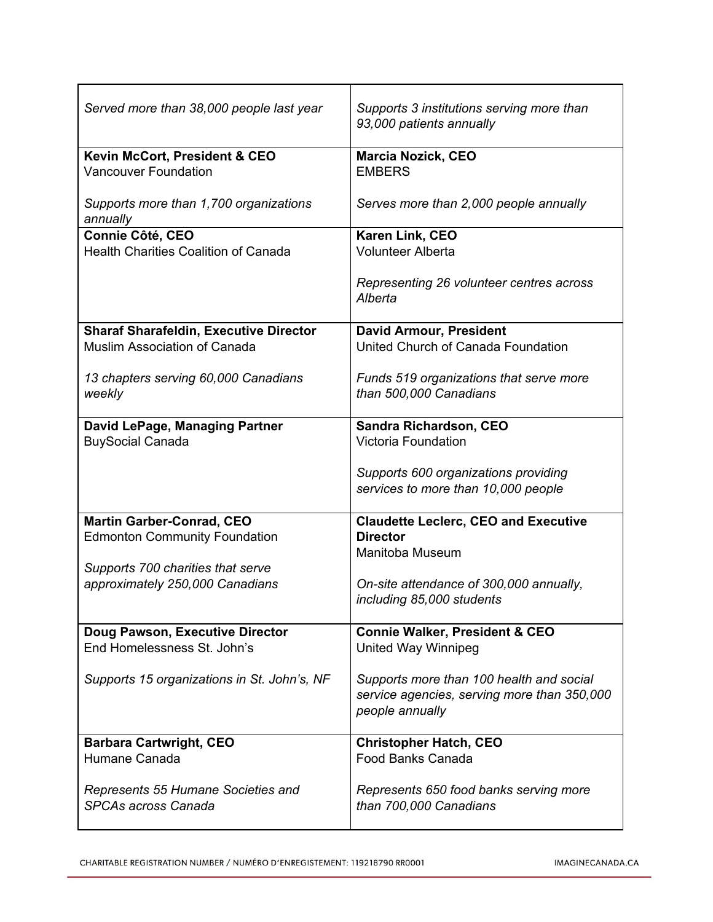| Served more than 38,000 people last year                         | Supports 3 institutions serving more than<br>93,000 patients annually                                      |
|------------------------------------------------------------------|------------------------------------------------------------------------------------------------------------|
| Kevin McCort, President & CEO<br><b>Vancouver Foundation</b>     | <b>Marcia Nozick, CEO</b><br><b>EMBERS</b>                                                                 |
| Supports more than 1,700 organizations<br>annually               | Serves more than 2,000 people annually                                                                     |
| Connie Côté, CEO                                                 | Karen Link, CEO<br><b>Volunteer Alberta</b>                                                                |
| <b>Health Charities Coalition of Canada</b>                      |                                                                                                            |
|                                                                  | Representing 26 volunteer centres across<br>Alberta                                                        |
| <b>Sharaf Sharafeldin, Executive Director</b>                    | <b>David Armour, President</b>                                                                             |
| <b>Muslim Association of Canada</b>                              | United Church of Canada Foundation                                                                         |
| 13 chapters serving 60,000 Canadians<br>weekly                   | Funds 519 organizations that serve more<br>than 500,000 Canadians                                          |
| David LePage, Managing Partner                                   | Sandra Richardson, CEO                                                                                     |
| <b>BuySocial Canada</b>                                          | <b>Victoria Foundation</b>                                                                                 |
|                                                                  | Supports 600 organizations providing<br>services to more than 10,000 people                                |
| <b>Martin Garber-Conrad, CEO</b>                                 | <b>Claudette Leclerc, CEO and Executive</b>                                                                |
| <b>Edmonton Community Foundation</b>                             | <b>Director</b>                                                                                            |
| Supports 700 charities that serve                                | Manitoba Museum                                                                                            |
| approximately 250,000 Canadians                                  | On-site attendance of 300,000 annually,<br>including 85,000 students                                       |
| Doug Pawson, Executive Director<br>End Homelessness St. John's   | <b>Connie Walker, President &amp; CEO</b><br>United Way Winnipeg                                           |
| Supports 15 organizations in St. John's, NF                      | Supports more than 100 health and social<br>service agencies, serving more than 350,000<br>people annually |
| <b>Barbara Cartwright, CEO</b><br>Humane Canada                  | <b>Christopher Hatch, CEO</b><br>Food Banks Canada                                                         |
| Represents 55 Humane Societies and<br><b>SPCAs across Canada</b> | Represents 650 food banks serving more<br>than 700,000 Canadians                                           |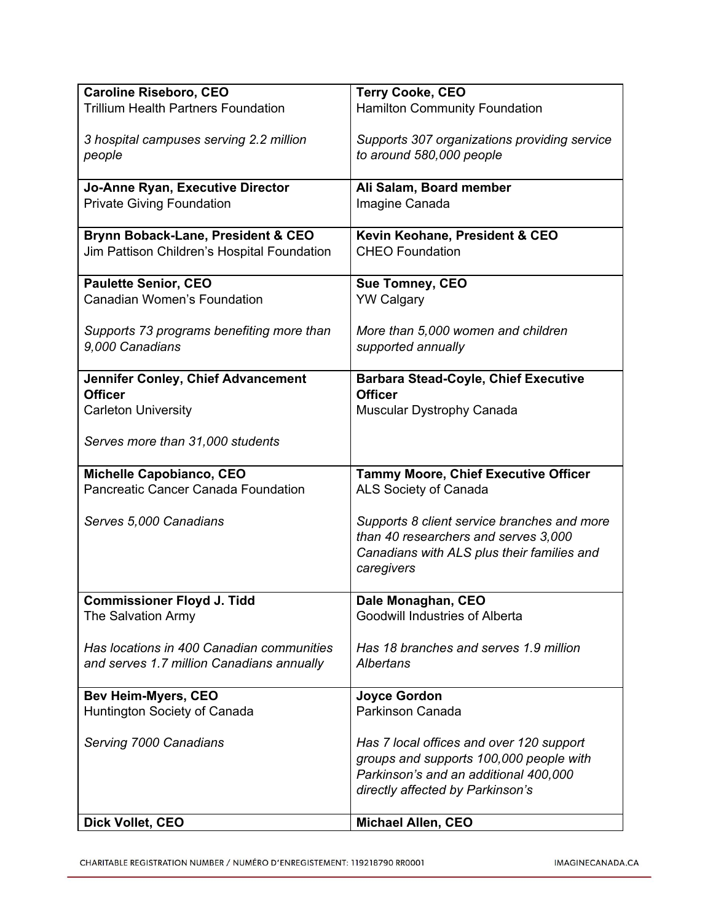| <b>Caroline Riseboro, CEO</b>               | <b>Terry Cooke, CEO</b>                      |
|---------------------------------------------|----------------------------------------------|
| <b>Trillium Health Partners Foundation</b>  | Hamilton Community Foundation                |
|                                             |                                              |
| 3 hospital campuses serving 2.2 million     | Supports 307 organizations providing service |
| people                                      | to around 580,000 people                     |
|                                             |                                              |
| Jo-Anne Ryan, Executive Director            | Ali Salam, Board member                      |
| <b>Private Giving Foundation</b>            | Imagine Canada                               |
|                                             |                                              |
| Brynn Boback-Lane, President & CEO          | Kevin Keohane, President & CEO               |
| Jim Pattison Children's Hospital Foundation | <b>CHEO Foundation</b>                       |
|                                             |                                              |
| <b>Paulette Senior, CEO</b>                 | <b>Sue Tomney, CEO</b>                       |
| Canadian Women's Foundation                 | <b>YW Calgary</b>                            |
|                                             |                                              |
| Supports 73 programs benefiting more than   | More than 5,000 women and children           |
| 9,000 Canadians                             | supported annually                           |
|                                             |                                              |
| Jennifer Conley, Chief Advancement          | <b>Barbara Stead-Coyle, Chief Executive</b>  |
| <b>Officer</b>                              | <b>Officer</b>                               |
| <b>Carleton University</b>                  | Muscular Dystrophy Canada                    |
|                                             |                                              |
| Serves more than 31,000 students            |                                              |
|                                             |                                              |
| Michelle Capobianco, CEO                    | <b>Tammy Moore, Chief Executive Officer</b>  |
| Pancreatic Cancer Canada Foundation         | ALS Society of Canada                        |
|                                             |                                              |
| Serves 5,000 Canadians                      | Supports 8 client service branches and more  |
|                                             | than 40 researchers and serves 3,000         |
|                                             | Canadians with ALS plus their families and   |
|                                             | caregivers                                   |
|                                             |                                              |
| <b>Commissioner Floyd J. Tidd</b>           | Dale Monaghan, CEO                           |
| The Salvation Army                          | Goodwill Industries of Alberta               |
|                                             |                                              |
| Has locations in 400 Canadian communities   | Has 18 branches and serves 1.9 million       |
| and serves 1.7 million Canadians annually   | Albertans                                    |
|                                             |                                              |
| <b>Bev Heim-Myers, CEO</b>                  | <b>Joyce Gordon</b>                          |
| Huntington Society of Canada                | Parkinson Canada                             |
|                                             |                                              |
| Serving 7000 Canadians                      | Has 7 local offices and over 120 support     |
|                                             | groups and supports 100,000 people with      |
|                                             | Parkinson's and an additional 400,000        |
|                                             | directly affected by Parkinson's             |
|                                             |                                              |
| Dick Vollet, CEO                            | Michael Allen, CEO                           |
|                                             |                                              |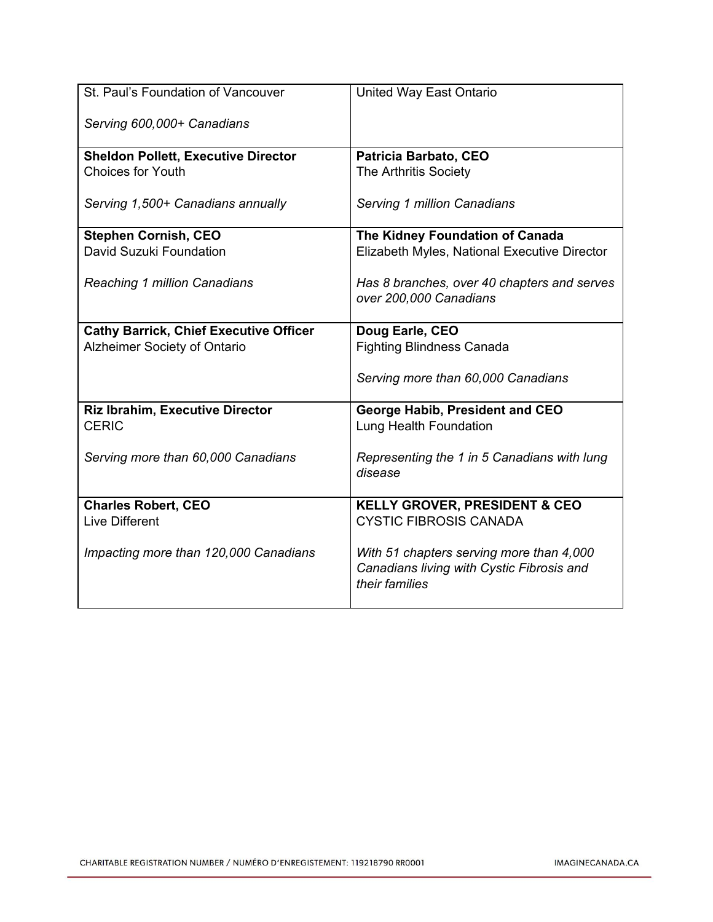| St. Paul's Foundation of Vancouver            | United Way East Ontario                      |
|-----------------------------------------------|----------------------------------------------|
| Serving 600,000+ Canadians                    |                                              |
| <b>Sheldon Pollett, Executive Director</b>    | Patricia Barbato, CEO                        |
| <b>Choices for Youth</b>                      | The Arthritis Society                        |
|                                               |                                              |
| Serving 1,500+ Canadians annually             | Serving 1 million Canadians                  |
|                                               |                                              |
| <b>Stephen Cornish, CEO</b>                   | The Kidney Foundation of Canada              |
| David Suzuki Foundation                       | Elizabeth Myles, National Executive Director |
|                                               |                                              |
| Reaching 1 million Canadians                  | Has 8 branches, over 40 chapters and serves  |
|                                               | over 200,000 Canadians                       |
|                                               |                                              |
| <b>Cathy Barrick, Chief Executive Officer</b> | Doug Earle, CEO                              |
| Alzheimer Society of Ontario                  | <b>Fighting Blindness Canada</b>             |
|                                               |                                              |
|                                               |                                              |
|                                               | Serving more than 60,000 Canadians           |
|                                               |                                              |
| <b>Riz Ibrahim, Executive Director</b>        | George Habib, President and CEO              |
| <b>CERIC</b>                                  | Lung Health Foundation                       |
|                                               |                                              |
| Serving more than 60,000 Canadians            | Representing the 1 in 5 Canadians with lung  |
|                                               | disease                                      |
|                                               |                                              |
| <b>Charles Robert, CEO</b>                    | <b>KELLY GROVER, PRESIDENT &amp; CEO</b>     |
| <b>Live Different</b>                         | <b>CYSTIC FIBROSIS CANADA</b>                |
|                                               |                                              |
| Impacting more than 120,000 Canadians         | With 51 chapters serving more than 4,000     |
|                                               | Canadians living with Cystic Fibrosis and    |
|                                               | their families                               |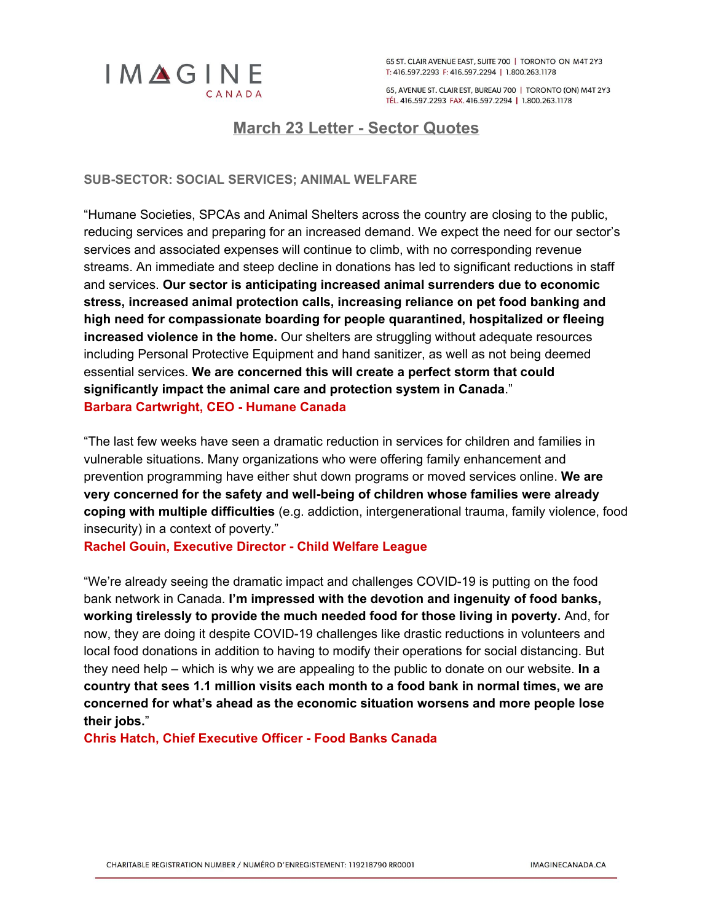

65 ST, CLAIR AVENUE EAST, SUITE 700 | TORONTO ON M4T 2Y3 T: 416.597.2293 F: 416.597.2294 | 1.800.263.1178

65, AVENUE ST. CLAIR EST, BUREAU 700 | TORONTO (ON) M4T 2Y3 TÉL. 416.597.2293 FAX. 416.597.2294 | 1.800.263.1178

## <span id="page-11-0"></span>**March 23 Letter - Sector Quotes**

**SUB-SECTOR: SOCIAL SERVICES; ANIMAL WELFARE**

"Humane Societies, SPCAs and Animal Shelters across the country are closing to the public, reducing services and preparing for an increased demand. We expect the need for our sector's services and associated expenses will continue to climb, with no corresponding revenue streams. An immediate and steep decline in donations has led to significant reductions in staff and services. **Our sector is anticipating increased animal surrenders due to economic stress, increased animal protection calls, increasing reliance on pet food banking and high need for compassionate boarding for people quarantined, hospitalized or fleeing increased violence in the home.** Our shelters are struggling without adequate resources including Personal Protective Equipment and hand sanitizer, as well as not being deemed essential services. **We are concerned this will create a perfect storm that could significantly impact the animal care and protection system in Canada**." **Barbara Cartwright, CEO - Humane Canada**

"The last few weeks have seen a dramatic reduction in services for children and families in vulnerable situations. Many organizations who were offering family enhancement and prevention programming have either shut down programs or moved services online. **We are very concerned for the safety and well-being of children whose families were already coping with multiple difficulties** (e.g. addiction, intergenerational trauma, family violence, food insecurity) in a context of poverty."

**Rachel Gouin, Executive Director - Child Welfare League**

"We're already seeing the dramatic impact and challenges COVID-19 is putting on the food bank network in Canada. **I'm impressed with the devotion and ingenuity of food banks, working tirelessly to provide the much needed food for those living in poverty.** And, for now, they are doing it despite COVID-19 challenges like drastic reductions in volunteers and local food donations in addition to having to modify their operations for social distancing. But they need help – which is why we are appealing to the public to donate on our website. **In a country that sees 1.1 million visits each month to a food bank in normal times, we are concerned for what's ahead as the economic situation worsens and more people lose their jobs.**"

**Chris Hatch, Chief Executive Officer - Food Banks Canada**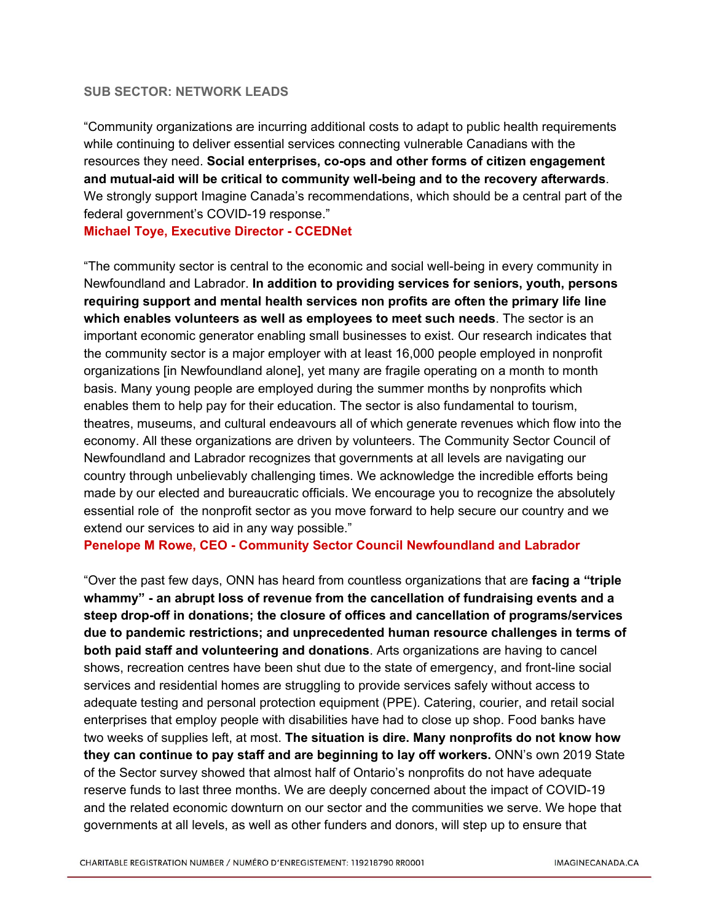#### **SUB SECTOR: NETWORK LEADS**

"Community organizations are incurring additional costs to adapt to public health requirements while continuing to deliver essential services connecting vulnerable Canadians with the resources they need. **Social enterprises, co-ops and other forms of citizen engagement and mutual-aid will be critical to community well-being and to the recovery afterwards**. We strongly support Imagine Canada's recommendations, which should be a central part of the federal government's COVID-19 response."

**Michael Toye, Executive Director - CCEDNet**

"The community sector is central to the economic and social well-being in every community in Newfoundland and Labrador. **In addition to providing services for seniors, youth, persons requiring support and mental health services non profits are often the primary life line which enables volunteers as well as employees to meet such needs**. The sector is an important economic generator enabling small businesses to exist. Our research indicates that the community sector is a major employer with at least 16,000 people employed in nonprofit organizations [in Newfoundland alone], yet many are fragile operating on a month to month basis. Many young people are employed during the summer months by nonprofits which enables them to help pay for their education. The sector is also fundamental to tourism, theatres, museums, and cultural endeavours all of which generate revenues which flow into the economy. All these organizations are driven by volunteers. The Community Sector Council of Newfoundland and Labrador recognizes that governments at all levels are navigating our country through unbelievably challenging times. We acknowledge the incredible efforts being made by our elected and bureaucratic officials. We encourage you to recognize the absolutely essential role of the nonprofit sector as you move forward to help secure our country and we extend our services to aid in any way possible."

**Penelope M Rowe, CEO - Community Sector Council Newfoundland and Labrador**

"Over the past few days, ONN has heard from countless organizations that are **facing a "triple whammy" - an abrupt loss of revenue from the cancellation of fundraising events and a steep drop-off in donations; the closure of offices and cancellation of programs/services due to pandemic restrictions; and unprecedented human resource challenges in terms of both paid staff and volunteering and donations**. Arts organizations are having to cancel shows, recreation centres have been shut due to the state of emergency, and front-line social services and residential homes are struggling to provide services safely without access to adequate testing and personal protection equipment (PPE). Catering, courier, and retail social enterprises that employ people with disabilities have had to close up shop. Food banks have two weeks of supplies left, at most. **The situation is dire. Many nonprofits do not know how they can continue to pay staff and are beginning to lay off workers.** ONN's own 2019 State of the Sector survey showed that almost half of Ontario's nonprofits do not have adequate reserve funds to last three months. We are deeply concerned about the impact of COVID-19 and the related economic downturn on our sector and the communities we serve. We hope that governments at all levels, as well as other funders and donors, will step up to ensure that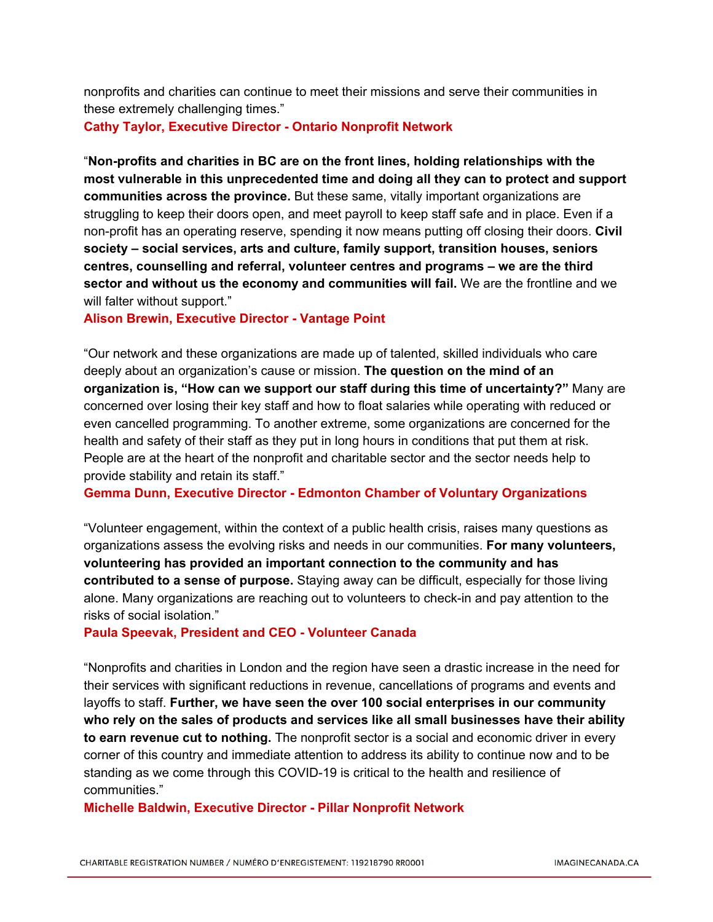nonprofits and charities can continue to meet their missions and serve their communities in these extremely challenging times."

#### **Cathy Taylor, Executive Director - Ontario Nonprofit Network**

"**Non-profits and charities in BC are on the front lines, holding relationships with the most vulnerable in this unprecedented time and doing all they can to protect and support communities across the province.** But these same, vitally important organizations are struggling to keep their doors open, and meet payroll to keep staff safe and in place. Even if a non-profit has an operating reserve, spending it now means putting off closing their doors. **Civil society – social services, arts and culture, family support, transition houses, seniors centres, counselling and referral, volunteer centres and programs – we are the third sector and without us the economy and communities will fail.** We are the frontline and we will falter without support."

**Alison Brewin, Executive Director - Vantage Point**

"Our network and these organizations are made up of talented, skilled individuals who care deeply about an organization's cause or mission. **The question on the mind of an organization is, "How can we support our staff during this time of uncertainty?"** Many are concerned over losing their key staff and how to float salaries while operating with reduced or even cancelled programming. To another extreme, some organizations are concerned for the health and safety of their staff as they put in long hours in conditions that put them at risk. People are at the heart of the nonprofit and charitable sector and the sector needs help to provide stability and retain its staff."

**Gemma Dunn, Executive Director - Edmonton Chamber of Voluntary Organizations**

"Volunteer engagement, within the context of a public health crisis, raises many questions as organizations assess the evolving risks and needs in our communities. **For many volunteers, volunteering has provided an important connection to the community and has contributed to a sense of purpose.** Staying away can be difficult, especially for those living alone. Many organizations are reaching out to volunteers to check-in and pay attention to the risks of social isolation."

#### **Paula Speevak, President and CEO - Volunteer Canada**

"Nonprofits and charities in London and the region have seen a drastic increase in the need for their services with significant reductions in revenue, cancellations of programs and events and layoffs to staff. **Further, we have seen the over 100 social enterprises in our community who rely on the sales of products and services like all small businesses have their ability to earn revenue cut to nothing.** The nonprofit sector is a social and economic driver in every corner of this country and immediate attention to address its ability to continue now and to be standing as we come through this COVID-19 is critical to the health and resilience of communities."

**Michelle Baldwin, Executive Director - Pillar Nonprofit Network**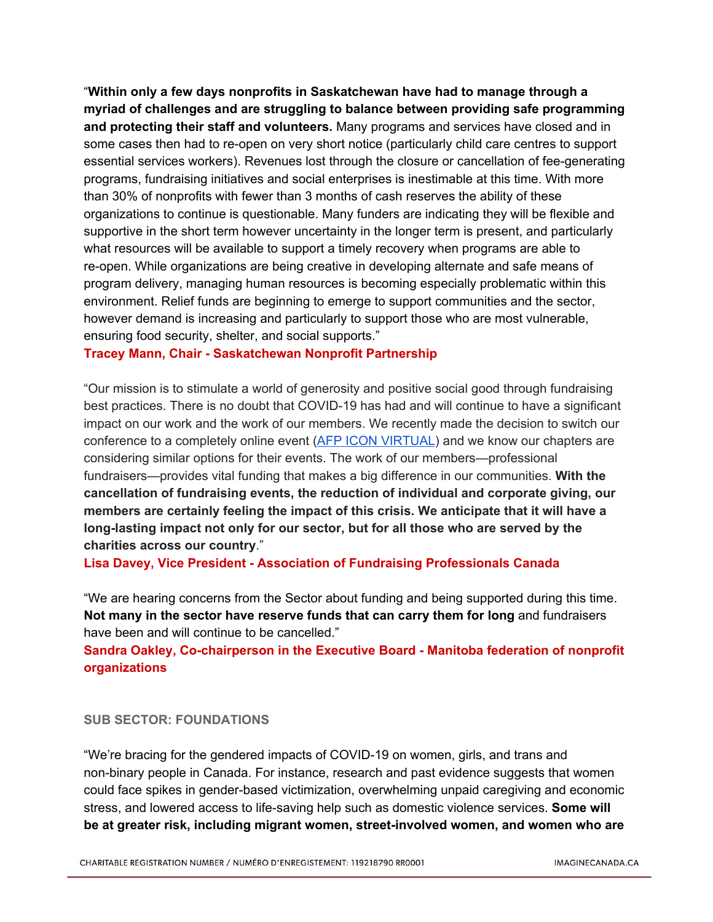"**Within only a few days nonprofits in Saskatchewan have had to manage through a myriad of challenges and are struggling to balance between providing safe programming and protecting their staff and volunteers.** Many programs and services have closed and in some cases then had to re-open on very short notice (particularly child care centres to support essential services workers). Revenues lost through the closure or cancellation of fee-generating programs, fundraising initiatives and social enterprises is inestimable at this time. With more than 30% of nonprofits with fewer than 3 months of cash reserves the ability of these organizations to continue is questionable. Many funders are indicating they will be flexible and supportive in the short term however uncertainty in the longer term is present, and particularly what resources will be available to support a timely recovery when programs are able to re-open. While organizations are being creative in developing alternate and safe means of program delivery, managing human resources is becoming especially problematic within this environment. Relief funds are beginning to emerge to support communities and the sector, however demand is increasing and particularly to support those who are most vulnerable, ensuring food security, shelter, and social supports."

#### **Tracey Mann, Chair - Saskatchewan Nonprofit Partnership**

"Our mission is to stimulate a world of generosity and positive social good through fundraising best practices. There is no doubt that COVID-19 has had and will continue to have a significant impact on our work and the work of our members. We recently made the decision to switch our conference to a completely online event (AFP ICON [VIRTUAL\)](https://afpiconvirtual.com/) and we know our chapters are considering similar options for their events. The work of our members—professional fundraisers—provides vital funding that makes a big difference in our communities. **With the cancellation of fundraising events, the reduction of individual and corporate giving, our members are certainly feeling the impact of this crisis. We anticipate that it will have a long-lasting impact not only for our sector, but for all those who are served by the charities across our country**."

**Lisa Davey, Vice President - Association of Fundraising Professionals Canada**

"We are hearing concerns from the Sector about funding and being supported during this time. **Not many in the sector have reserve funds that can carry them for long** and fundraisers have been and will continue to be cancelled."

**Sandra Oakley, Co-chairperson in the Executive Board - Manitoba federation of nonprofit organizations**

#### **SUB SECTOR: FOUNDATIONS**

"We're bracing for the gendered impacts of COVID-19 on women, girls, and trans and non-binary people in Canada. For instance, research and past evidence suggests that women could face spikes in gender-based victimization, overwhelming unpaid caregiving and economic stress, and lowered access to life-saving help such as domestic violence services. **Some will be at greater risk, including migrant women, street-involved women, and women who are**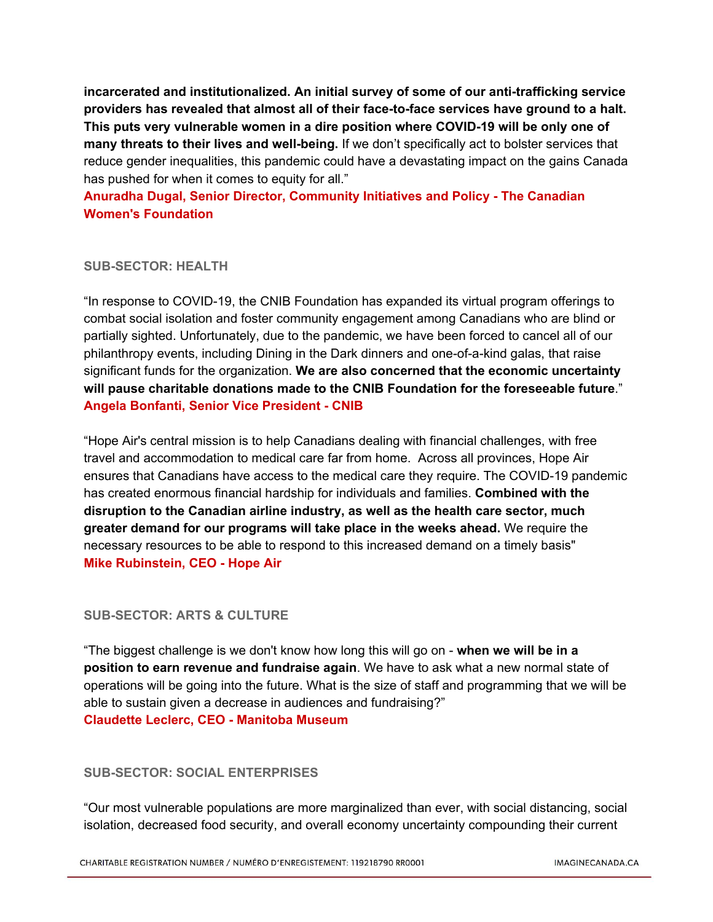**incarcerated and institutionalized. An initial survey of some of our anti-trafficking service providers has revealed that almost all of their face-to-face services have ground to a halt. This puts very vulnerable women in a dire position where COVID-19 will be only one of many threats to their lives and well-being.** If we don't specifically act to bolster services that reduce gender inequalities, this pandemic could have a devastating impact on the gains Canada has pushed for when it comes to equity for all."

**Anuradha Dugal, Senior Director, Community Initiatives and Policy - The Canadian Women's Foundation**

#### **SUB-SECTOR: HEALTH**

"In response to COVID-19, the CNIB Foundation has expanded its virtual program offerings to combat social isolation and foster community engagement among Canadians who are blind or partially sighted. Unfortunately, due to the pandemic, we have been forced to cancel all of our philanthropy events, including Dining in the Dark dinners and one-of-a-kind galas, that raise significant funds for the organization. **We are also concerned that the economic uncertainty will pause charitable donations made to the CNIB Foundation for the foreseeable future**." **Angela Bonfanti, Senior Vice President - CNIB**

"Hope Air's central mission is to help Canadians dealing with financial challenges, with free travel and accommodation to medical care far from home. Across all provinces, Hope Air ensures that Canadians have access to the medical care they require. The COVID-19 pandemic has created enormous financial hardship for individuals and families. **Combined with the disruption to the Canadian airline industry, as well as the health care sector, much greater demand for our programs will take place in the weeks ahead.** We require the necessary resources to be able to respond to this increased demand on a timely basis" **Mike Rubinstein, CEO - Hope Air**

## **SUB-SECTOR: ARTS & CULTURE**

"The biggest challenge is we don't know how long this will go on - **when we will be in a position to earn revenue and fundraise again**. We have to ask what a new normal state of operations will be going into the future. What is the size of staff and programming that we will be able to sustain given a decrease in audiences and fundraising?" **Claudette Leclerc, CEO - Manitoba Museum**

## **SUB-SECTOR: SOCIAL ENTERPRISES**

"Our most vulnerable populations are more marginalized than ever, with social distancing, social isolation, decreased food security, and overall economy uncertainty compounding their current